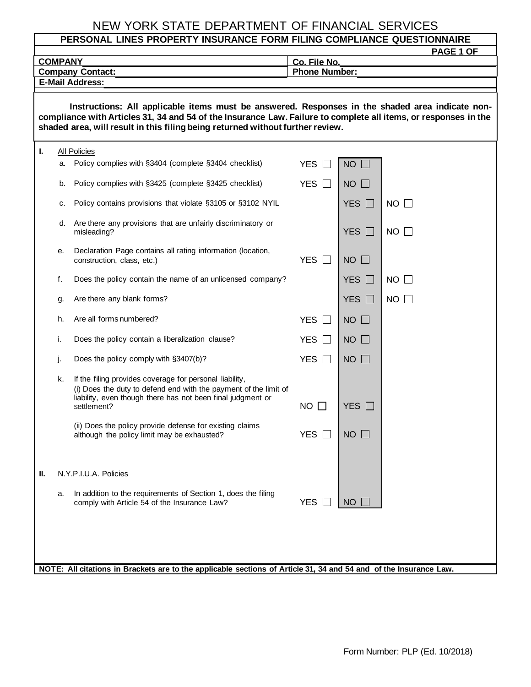## NEW YORK STATE DEPARTMENT OF FINANCIAL SERVICES

| PERSONAL LINES PROPERTY INSURANCE FORM FILING COMPLIANCE QUESTIONNAIRE                                                                                                                                                                                                                               |                                                                                                                   |                                                                                                                                                                                                           |                            |                     |             |  |  |  |  |
|------------------------------------------------------------------------------------------------------------------------------------------------------------------------------------------------------------------------------------------------------------------------------------------------------|-------------------------------------------------------------------------------------------------------------------|-----------------------------------------------------------------------------------------------------------------------------------------------------------------------------------------------------------|----------------------------|---------------------|-------------|--|--|--|--|
|                                                                                                                                                                                                                                                                                                      | <b>COMPANY</b>                                                                                                    |                                                                                                                                                                                                           | Co. File No.               |                     | PAGE 1 OF   |  |  |  |  |
|                                                                                                                                                                                                                                                                                                      |                                                                                                                   | <b>Company Contact:</b>                                                                                                                                                                                   | <b>Phone Number:</b>       |                     |             |  |  |  |  |
| <b>E-Mail Address:</b>                                                                                                                                                                                                                                                                               |                                                                                                                   |                                                                                                                                                                                                           |                            |                     |             |  |  |  |  |
| Instructions: All applicable items must be answered. Responses in the shaded area indicate non-<br>compliance with Articles 31, 34 and 54 of the Insurance Law. Failure to complete all items, or responses in the<br>shaded area, will result in this filing being returned without further review. |                                                                                                                   |                                                                                                                                                                                                           |                            |                     |             |  |  |  |  |
| ı.                                                                                                                                                                                                                                                                                                   | All Policies                                                                                                      |                                                                                                                                                                                                           |                            |                     |             |  |  |  |  |
|                                                                                                                                                                                                                                                                                                      |                                                                                                                   | a. Policy complies with §3404 (complete §3404 checklist)                                                                                                                                                  | <b>YES</b>                 | <b>NO</b>           |             |  |  |  |  |
|                                                                                                                                                                                                                                                                                                      | b.                                                                                                                | Policy complies with §3425 (complete §3425 checklist)                                                                                                                                                     | <b>YES</b><br>$\perp$      | $NO$ $\Box$         |             |  |  |  |  |
|                                                                                                                                                                                                                                                                                                      | с.                                                                                                                | Policy contains provisions that violate §3105 or §3102 NYIL                                                                                                                                               |                            | YES $\Box$          | $NO$ $\Box$ |  |  |  |  |
|                                                                                                                                                                                                                                                                                                      | d.                                                                                                                | Are there any provisions that are unfairly discriminatory or<br>misleading?                                                                                                                               |                            | YES $\Box$          | $NO$ $\Box$ |  |  |  |  |
|                                                                                                                                                                                                                                                                                                      | е.                                                                                                                | Declaration Page contains all rating information (location,<br>construction, class, etc.)                                                                                                                 | <b>YES</b><br>$\mathbf{I}$ | NO<br>$\Box$        |             |  |  |  |  |
|                                                                                                                                                                                                                                                                                                      | f.                                                                                                                | Does the policy contain the name of an unlicensed company?                                                                                                                                                |                            | YES $\Box$          | $NO$ $\Box$ |  |  |  |  |
|                                                                                                                                                                                                                                                                                                      | g.                                                                                                                | Are there any blank forms?                                                                                                                                                                                |                            | YES $\Box$          | $NO$ $\Box$ |  |  |  |  |
|                                                                                                                                                                                                                                                                                                      | h.                                                                                                                | Are all forms numbered?                                                                                                                                                                                   | <b>YES</b><br>$\Box$       | $NO$ $\Box$         |             |  |  |  |  |
|                                                                                                                                                                                                                                                                                                      | i.                                                                                                                | Does the policy contain a liberalization clause?                                                                                                                                                          | <b>YES</b><br>$\perp$      | <b>NO</b><br>$\Box$ |             |  |  |  |  |
|                                                                                                                                                                                                                                                                                                      | j.                                                                                                                | Does the policy comply with §3407(b)?                                                                                                                                                                     | <b>YES</b><br>$\sim$       | NO                  |             |  |  |  |  |
|                                                                                                                                                                                                                                                                                                      | k.                                                                                                                | If the filing provides coverage for personal liability,<br>(i) Does the duty to defend end with the payment of the limit of<br>liability, even though there has not been final judgment or<br>settlement? | NO.                        | <b>YES</b>          |             |  |  |  |  |
|                                                                                                                                                                                                                                                                                                      |                                                                                                                   | (ii) Does the policy provide defense for existing claims<br>although the policy limit may be exhausted?                                                                                                   | <b>YES</b>                 | <b>NO</b>           |             |  |  |  |  |
| Ш.                                                                                                                                                                                                                                                                                                   |                                                                                                                   | N.Y.P.I.U.A. Policies                                                                                                                                                                                     |                            |                     |             |  |  |  |  |
|                                                                                                                                                                                                                                                                                                      | a.                                                                                                                | In addition to the requirements of Section 1, does the filing<br>comply with Article 54 of the Insurance Law?                                                                                             | <b>YES</b>                 | <b>NO</b>           |             |  |  |  |  |
|                                                                                                                                                                                                                                                                                                      |                                                                                                                   |                                                                                                                                                                                                           |                            |                     |             |  |  |  |  |
|                                                                                                                                                                                                                                                                                                      | NOTE: All citations in Brackets are to the applicable sections of Article 31, 34 and 54 and of the Insurance Law. |                                                                                                                                                                                                           |                            |                     |             |  |  |  |  |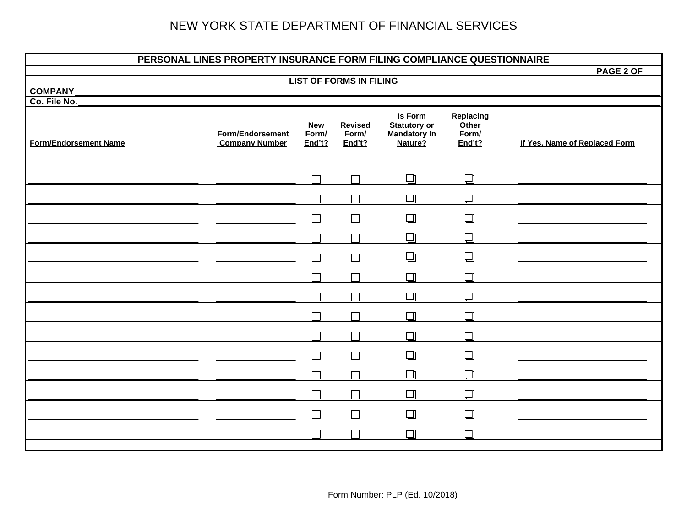## NEW YORK STATE DEPARTMENT OF FINANCIAL SERVICES

| PERSONAL LINES PROPERTY INSURANCE FORM FILING COMPLIANCE QUESTIONNAIRE |                                                  |                               |                                   |                                                                  |                                       |                               |  |  |
|------------------------------------------------------------------------|--------------------------------------------------|-------------------------------|-----------------------------------|------------------------------------------------------------------|---------------------------------------|-------------------------------|--|--|
|                                                                        | PAGE 2 OF                                        |                               |                                   |                                                                  |                                       |                               |  |  |
| <b>COMPANY</b>                                                         |                                                  |                               | <b>LIST OF FORMS IN FILING</b>    |                                                                  |                                       |                               |  |  |
| Co. File No.                                                           |                                                  |                               |                                   |                                                                  |                                       |                               |  |  |
| <b>Form/Endorsement Name</b>                                           | <b>Form/Endorsement</b><br><b>Company Number</b> | <b>New</b><br>Form/<br>End't? | <b>Revised</b><br>Form/<br>End't? | Is Form<br><b>Statutory or</b><br><b>Mandatory In</b><br>Nature? | Replacing<br>Other<br>Form/<br>End't? | If Yes, Name of Replaced Form |  |  |
|                                                                        |                                                  | $\Box$                        | $\Box$                            | $\Box$                                                           | $\Box$                                |                               |  |  |
|                                                                        |                                                  |                               |                                   | $\Box$                                                           | $\Box$                                |                               |  |  |
|                                                                        |                                                  |                               |                                   | $\Box$                                                           | $\Box$                                |                               |  |  |
|                                                                        |                                                  |                               |                                   | $\Box$                                                           | $\Box$                                |                               |  |  |
|                                                                        |                                                  |                               |                                   | ⊡                                                                | ⊡                                     |                               |  |  |
|                                                                        |                                                  |                               |                                   | $\Box$                                                           | $\Box$                                |                               |  |  |
|                                                                        |                                                  | □                             |                                   | $\Box$                                                           | $\Box$                                |                               |  |  |
|                                                                        |                                                  |                               |                                   | $\Box$                                                           | $\Box$                                |                               |  |  |
|                                                                        |                                                  |                               |                                   | $\Box$                                                           | $\Box$                                |                               |  |  |
|                                                                        |                                                  |                               |                                   | $\Box$                                                           | $\Box$                                |                               |  |  |
|                                                                        |                                                  |                               |                                   | $\Box$                                                           | $\Box$                                |                               |  |  |
|                                                                        |                                                  | П                             |                                   | $\Box$                                                           | $\Box$                                |                               |  |  |
|                                                                        |                                                  |                               |                                   | $\Box$                                                           | $\Box$                                |                               |  |  |
|                                                                        |                                                  |                               |                                   | $\Box$                                                           | $\Box$                                |                               |  |  |
|                                                                        |                                                  |                               |                                   |                                                                  |                                       |                               |  |  |